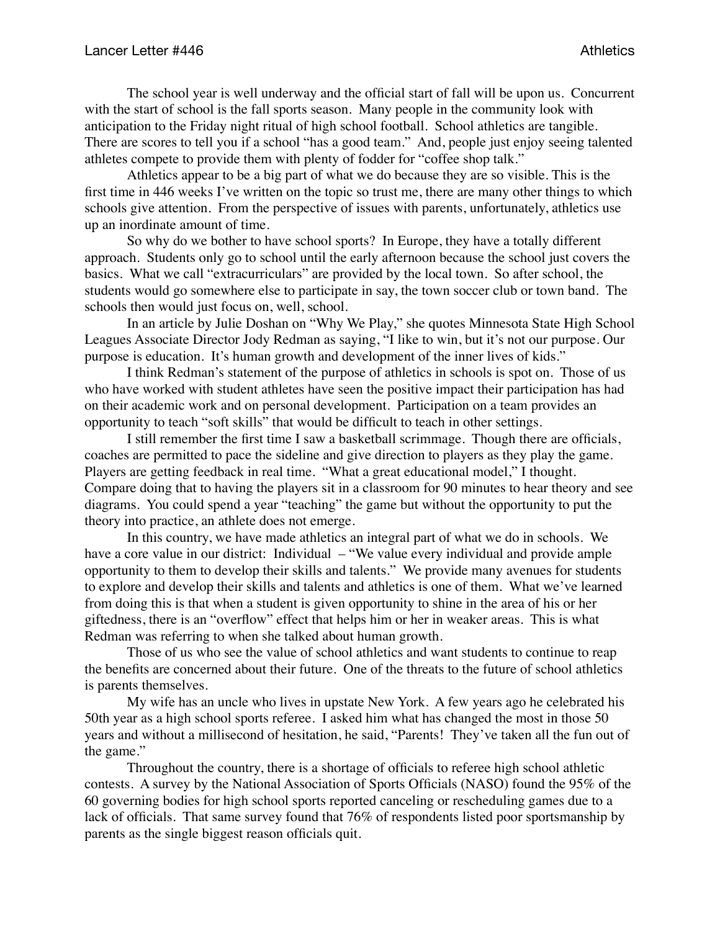The school year is well underway and the official start of fall will be upon us. Concurrent with the start of school is the fall sports season. Many people in the community look with anticipation to the Friday night ritual of high school football. School athletics are tangible. There are scores to tell you if a school "has a good team." And, people just enjoy seeing talented athletes compete to provide them with plenty of fodder for "coffee shop talk."

Athletics appear to be a big part of what we do because they are so visible. This is the first time in 446 weeks I've written on the topic so trust me, there are many other things to which schools give attention. From the perspective of issues with parents, unfortunately, athletics use up an inordinate amount of time.

So why do we bother to have school sports? In Europe, they have a totally different approach. Students only go to school until the early afternoon because the school just covers the basics. What we call "extracurriculars" are provided by the local town. So after school, the students would go somewhere else to participate in say, the town soccer club or town band. The schools then would just focus on, well, school.

In an article by Julie Doshan on "Why We Play," she quotes Minnesota State High School Leagues Associate Director Jody Redman as saying, "I like to win, but it's not our purpose. Our purpose is education. It's human growth and development of the inner lives of kids."

I think Redman's statement of the purpose of athletics in schools is spot on. Those of us who have worked with student athletes have seen the positive impact their participation has had on their academic work and on personal development. Participation on a team provides an opportunity to teach "soft skills" that would be difficult to teach in other settings.

I still remember the first time I saw a basketball scrimmage. Though there are officials, coaches are permitted to pace the sideline and give direction to players as they play the game. Players are getting feedback in real time. "What a great educational model," I thought. Compare doing that to having the players sit in a classroom for 90 minutes to hear theory and see diagrams. You could spend a year "teaching" the game but without the opportunity to put the theory into practice, an athlete does not emerge.

In this country, we have made athletics an integral part of what we do in schools. We have a core value in our district: Individual – "We value every individual and provide ample opportunity to them to develop their skills and talents." We provide many avenues for students to explore and develop their skills and talents and athletics is one of them. What we've learned from doing this is that when a student is given opportunity to shine in the area of his or her giftedness, there is an "overflow" effect that helps him or her in weaker areas. This is what Redman was referring to when she talked about human growth.

Those of us who see the value of school athletics and want students to continue to reap the benefits are concerned about their future. One of the threats to the future of school athletics is parents themselves.

My wife has an uncle who lives in upstate New York. A few years ago he celebrated his 50th year as a high school sports referee. I asked him what has changed the most in those 50 years and without a millisecond of hesitation, he said, "Parents! They've taken all the fun out of the game."

Throughout the country, there is a shortage of officials to referee high school athletic contests. A survey by the National Association of Sports Officials (NASO) found the 95% of the 60 governing bodies for high school sports reported canceling or rescheduling games due to a lack of officials. That same survey found that 76% of respondents listed poor sportsmanship by parents as the single biggest reason officials quit.